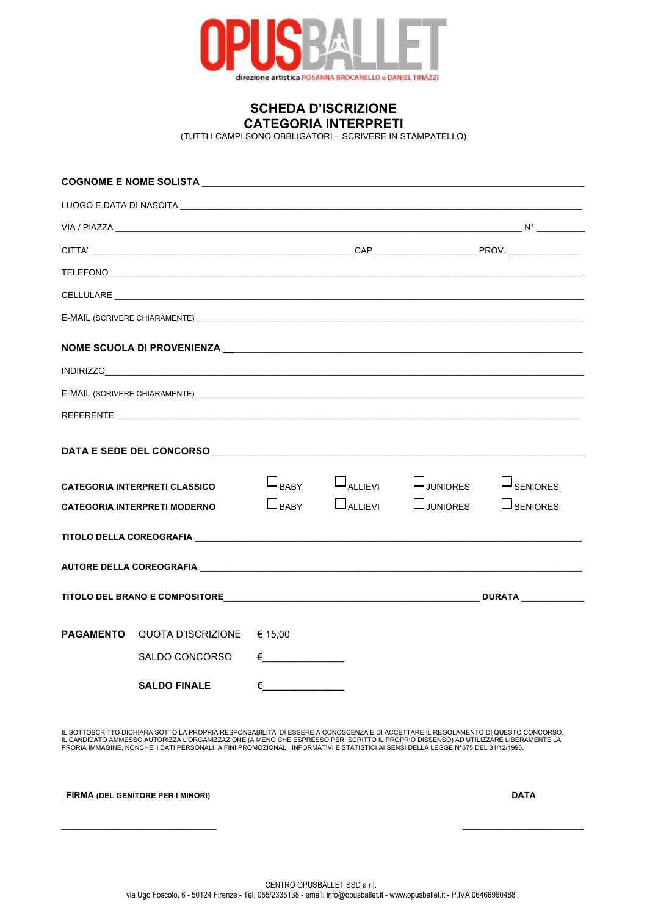

**SCHEDA D'ISCRIZIONE CATEGORIA INTERPRETI**

(TUTTI I CAMPI SONO OBBLIGATORI – SCRIVERE IN STAMPATELLO)

|                                     | REFERENTE <b>Australia de la componentación de la componentación de la componentación de la componentación de la</b> |                      |                |                 |                              |
|-------------------------------------|----------------------------------------------------------------------------------------------------------------------|----------------------|----------------|-----------------|------------------------------|
|                                     |                                                                                                                      |                      |                |                 |                              |
|                                     | <b>CATEGORIA INTERPRETI CLASSICO</b>                                                                                 | $\Box_{\text{BABY}}$ | $\Box$ ALLIEVI | $\Box$ JUNIORES | $\sqcup$ <sub>SENIORES</sub> |
| <b>CATEGORIA INTERPRETI MODERNO</b> |                                                                                                                      | $\Box$ BABY          | $\Box$ ALLIEVI | $\Box$ JUNIORES | <b>L</b> SENIORES            |
|                                     | TITOLO DELLA COREOGRAFIA ELEVATIVITATI DELL'INTERNATIONALE ANNI DELL'INTERNATIONALE ANNI DELLA COREOGRAFIA           |                      |                |                 |                              |
|                                     |                                                                                                                      |                      |                |                 |                              |
|                                     |                                                                                                                      |                      |                |                 |                              |
| <b>PAGAMENTO</b>                    | QUOTA D'ISCRIZIONE                                                                                                   | € 15,00              |                |                 |                              |
|                                     | SALDO CONCORSO                                                                                                       | $\epsilon$           |                |                 |                              |
|                                     | <b>SALDO FINALE</b>                                                                                                  | €                    |                |                 |                              |

IL SOTTOSCRITTO DICHIARA SOTTO LA PROPRIA RESPONSABILITA' DI ESSERE A CONOSCENZA E DI ACCETTARE IL REGOLAMENTO DI QUESTO CONCORSO.<br>IL CANDIDATO AMMESSO AUTORIZZA L'ORGANIZZAZIONE (A MENO CHE ESPRESSO PER ISCRITTO IL PROPRI

 **FIRMA (DEL GENITORE PER I MINORI) DATA**

 $\mathcal{L}_\mathcal{L}$  , and the contribution of the contribution of the contribution of the contribution of the contribution of the contribution of the contribution of the contribution of the contribution of the contribution of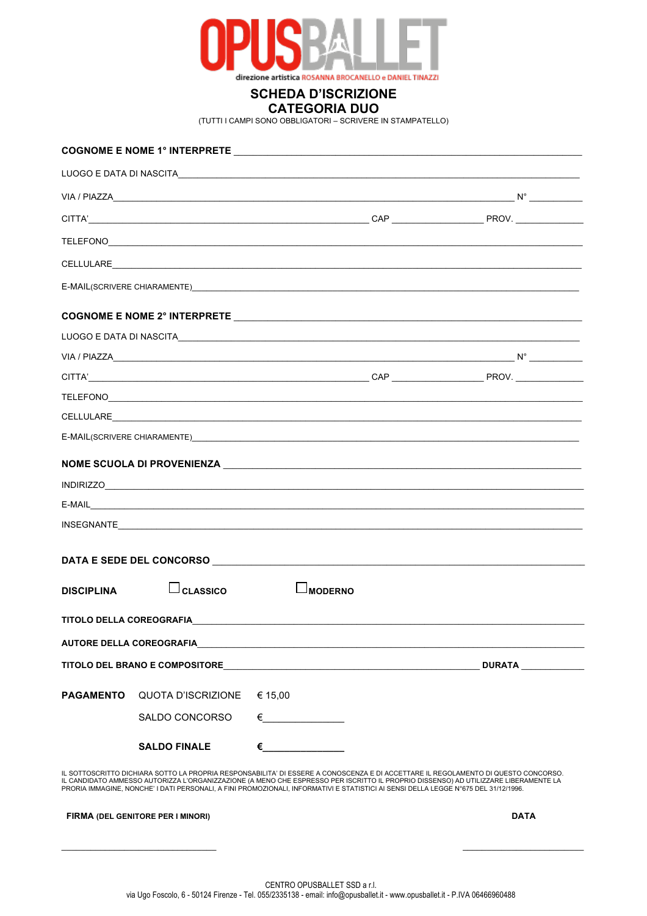

## **SCHEDA D'ISCRIZIONE CATEGORIA DUO**

(TUTTI I CAMPI SONO OBBLIGATORI – SCRIVERE IN STAMPATELLO)

| <b>DISCIPLINA</b>               | $\Box$ CLASSICO                                        |         | MODERNO                                                                                                                                                                                                                                                                                                                                                                                                          |               |
|---------------------------------|--------------------------------------------------------|---------|------------------------------------------------------------------------------------------------------------------------------------------------------------------------------------------------------------------------------------------------------------------------------------------------------------------------------------------------------------------------------------------------------------------|---------------|
|                                 | TITOLO DELLA COREOGRAFIA <b>ANDE DE LA COREOGRAFIA</b> |         |                                                                                                                                                                                                                                                                                                                                                                                                                  |               |
| <b>AUTORE DELLA COREOGRAFIA</b> |                                                        |         |                                                                                                                                                                                                                                                                                                                                                                                                                  |               |
|                                 | <b>TITOLO DEL BRANO E COMPOSITORE</b>                  |         | <u> 1989 - Andrea Stadt, fransk politiker (d. 1989)</u>                                                                                                                                                                                                                                                                                                                                                          | <b>DURATA</b> |
| <b>PAGAMENTO</b>                | QUOTA D'ISCRIZIONE                                     | € 15,00 |                                                                                                                                                                                                                                                                                                                                                                                                                  |               |
|                                 | SALDO CONCORSO                                         |         | $\epsilon$                                                                                                                                                                                                                                                                                                                                                                                                       |               |
|                                 | <b>SALDO FINALE</b>                                    |         | <u>and the community of the state</u>                                                                                                                                                                                                                                                                                                                                                                            |               |
|                                 |                                                        |         | IL SOTTOSCRITTO DICHIARA SOTTO LA PROPRIA RESPONSABILITA' DI ESSERE A CONOSCENZA E DI ACCETTARE IL REGOLAMENTO DI QUESTO CONCORSO.<br>IL CANDIDATO AMMESSO AUTORIZZA L'ORGANIZZAZIONE (A MENO CHE ESPRESSO PER ISCRITTO IL PROPRIO DISSENSO) AD UTILIZZARE LIBERAMENTE LA<br>PRORIA IMMAGINE, NONCHE' I DATI PERSONALI, A FINI PROMOZIONALI, INFORMATIVI E STATISTICI AI SENSI DELLA LEGGE N°675 DEL 31/12/1996. |               |
|                                 | FIRMA (DEL GENITORE PER I MINORI)                      |         |                                                                                                                                                                                                                                                                                                                                                                                                                  | <b>DATA</b>   |
|                                 |                                                        |         |                                                                                                                                                                                                                                                                                                                                                                                                                  |               |